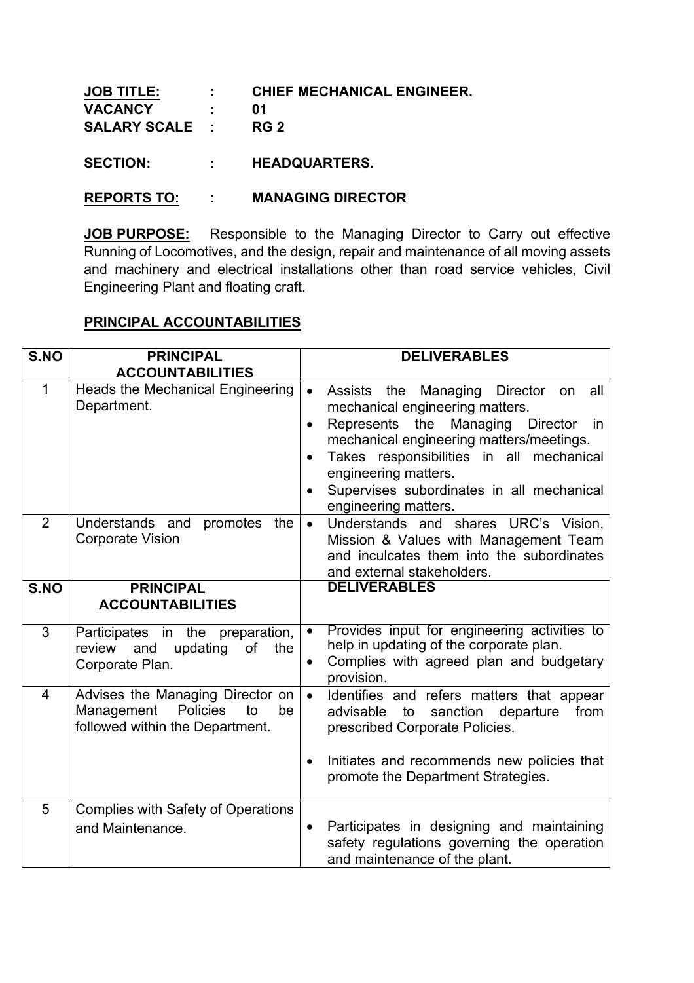| <b>JOB TITLE:</b>   |                  | : CHIEF MECHANICAL ENGINEER. |
|---------------------|------------------|------------------------------|
| <b>VACANCY</b>      | $\sim$ $\sim$ 01 |                              |
| SALARY SCALE : RG 2 |                  |                              |
|                     |                  |                              |

**SECTION: : HEADQUARTERS.**

## **REPORTS TO: : MANAGING DIRECTOR**

**JOB PURPOSE:** Responsible to the Managing Director to Carry out effective Running of Locomotives, and the design, repair and maintenance of all moving assets and machinery and electrical installations other than road service vehicles, Civil Engineering Plant and floating craft.

## **PRINCIPAL ACCOUNTABILITIES**

| S.NO           | <b>PRINCIPAL</b>                                                                                          | <b>DELIVERABLES</b>                                                                                                                                                                                                                                                                                                                                                                                            |
|----------------|-----------------------------------------------------------------------------------------------------------|----------------------------------------------------------------------------------------------------------------------------------------------------------------------------------------------------------------------------------------------------------------------------------------------------------------------------------------------------------------------------------------------------------------|
|                | <b>ACCOUNTABILITIES</b>                                                                                   |                                                                                                                                                                                                                                                                                                                                                                                                                |
| $\mathbf{1}$   | Heads the Mechanical Engineering<br>Department.                                                           | <b>Director</b><br><b>Assists</b><br>Managing<br>all<br>$\bullet$<br>the<br>on<br>mechanical engineering matters.<br>Represents<br>the<br>Managing<br><b>Director</b><br><i>in</i><br>$\bullet$<br>mechanical engineering matters/meetings.<br>Takes responsibilities in all mechanical<br>$\bullet$<br>engineering matters.<br>Supervises subordinates in all mechanical<br>$\bullet$<br>engineering matters. |
| $\overline{2}$ | Understands and<br>promotes<br>the<br><b>Corporate Vision</b>                                             | Understands and shares URC's Vision,<br>$\bullet$<br>Mission & Values with Management Team<br>and inculcates them into the subordinates<br>and external stakeholders.                                                                                                                                                                                                                                          |
| S.NO           | <b>PRINCIPAL</b><br><b>ACCOUNTABILITIES</b>                                                               | <b>DELIVERABLES</b>                                                                                                                                                                                                                                                                                                                                                                                            |
| 3              | Participates in the preparation,<br>updating<br>review<br>and<br>of<br>the<br>Corporate Plan.             | Provides input for engineering activities to<br>$\bullet$<br>help in updating of the corporate plan.<br>Complies with agreed plan and budgetary<br>$\bullet$<br>provision.                                                                                                                                                                                                                                     |
| 4              | Advises the Managing Director on<br>Management<br>Policies<br>be<br>to<br>followed within the Department. | $\bullet$<br>Identifies and refers matters that appear<br>advisable<br>sanction<br>to<br>departure<br>from<br>prescribed Corporate Policies.<br>Initiates and recommends new policies that<br>$\bullet$<br>promote the Department Strategies.                                                                                                                                                                  |
|                |                                                                                                           |                                                                                                                                                                                                                                                                                                                                                                                                                |
| 5              | <b>Complies with Safety of Operations</b><br>and Maintenance.                                             | Participates in designing and maintaining<br>$\bullet$<br>safety regulations governing the operation<br>and maintenance of the plant.                                                                                                                                                                                                                                                                          |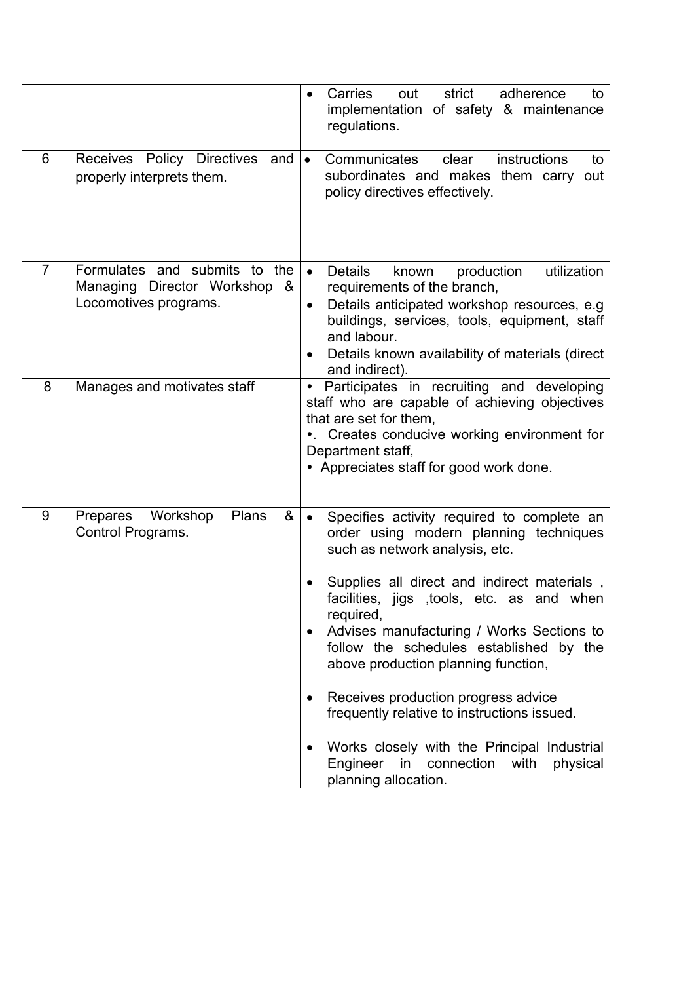|                |                                                                                           | Carries<br>strict<br>out<br>adherence<br>to<br>implementation of safety & maintenance<br>regulations.                                                                                                                                                                                                                                                                                                                                                                                                                                                                                                           |
|----------------|-------------------------------------------------------------------------------------------|-----------------------------------------------------------------------------------------------------------------------------------------------------------------------------------------------------------------------------------------------------------------------------------------------------------------------------------------------------------------------------------------------------------------------------------------------------------------------------------------------------------------------------------------------------------------------------------------------------------------|
| 6              | Receives Policy Directives<br>and<br>properly interprets them.                            | instructions<br>$\bullet$<br>Communicates<br>clear<br>to<br>subordinates and makes them carry<br>out<br>policy directives effectively.                                                                                                                                                                                                                                                                                                                                                                                                                                                                          |
| $\overline{7}$ | Formulates and submits to the<br>Managing Director Workshop<br>&<br>Locomotives programs. | utilization<br>Details<br>production<br>known<br>requirements of the branch,<br>Details anticipated workshop resources, e.g.<br>$\bullet$<br>buildings, services, tools, equipment, staff<br>and labour.<br>Details known availability of materials (direct<br>and indirect).                                                                                                                                                                                                                                                                                                                                   |
| 8              | Manages and motivates staff                                                               | Participates in recruiting and developing<br>$\bullet$<br>staff who are capable of achieving objectives<br>that are set for them,<br>•. Creates conducive working environment for<br>Department staff,<br>• Appreciates staff for good work done.                                                                                                                                                                                                                                                                                                                                                               |
| 9              | Plans<br>Workshop<br>&<br>Prepares<br>Control Programs.                                   | Specifies activity required to complete an<br>$\bullet$<br>order using modern planning techniques<br>such as network analysis, etc.<br>Supplies all direct and indirect materials,<br>facilities, jigs , tools, etc. as and when<br>required,<br>Advises manufacturing / Works Sections to<br>$\bullet$<br>follow the schedules established by the<br>above production planning function,<br>Receives production progress advice<br>٠<br>frequently relative to instructions issued.<br>Works closely with the Principal Industrial<br>Engineer<br>in<br>connection<br>with<br>physical<br>planning allocation. |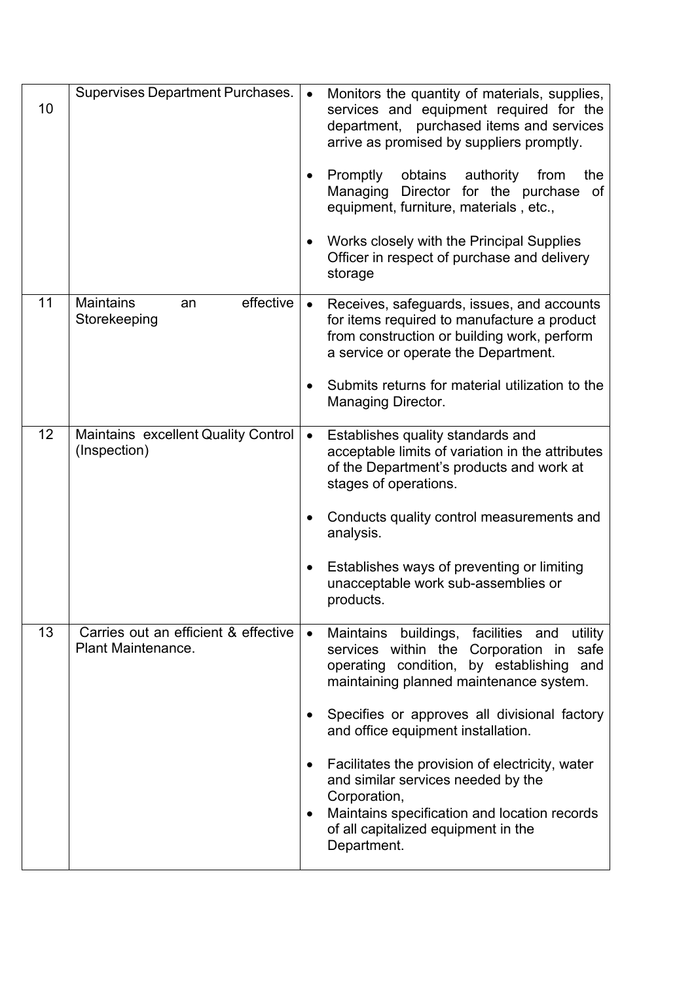| 10 | Supervises Department Purchases.                           | Monitors the quantity of materials, supplies,<br>$\bullet$<br>services and equipment required for the<br>department, purchased items and services<br>arrive as promised by suppliers promptly.<br>Promptly<br>obtains<br>authority<br>from<br>the<br>$\bullet$<br>Managing Director for the purchase<br>of<br>equipment, furniture, materials, etc.,<br>Works closely with the Principal Supplies<br>$\bullet$<br>Officer in respect of purchase and delivery<br>storage                                                   |
|----|------------------------------------------------------------|----------------------------------------------------------------------------------------------------------------------------------------------------------------------------------------------------------------------------------------------------------------------------------------------------------------------------------------------------------------------------------------------------------------------------------------------------------------------------------------------------------------------------|
| 11 | effective<br><b>Maintains</b><br>an<br>Storekeeping        | Receives, safeguards, issues, and accounts<br>$\bullet$<br>for items required to manufacture a product<br>from construction or building work, perform<br>a service or operate the Department.<br>Submits returns for material utilization to the<br>Managing Director.                                                                                                                                                                                                                                                     |
| 12 | Maintains excellent Quality Control<br>(Inspection)        | Establishes quality standards and<br>$\bullet$<br>acceptable limits of variation in the attributes<br>of the Department's products and work at<br>stages of operations.<br>Conducts quality control measurements and<br>analysis.<br>Establishes ways of preventing or limiting<br>٠<br>unacceptable work sub-assemblies or<br>products.                                                                                                                                                                                   |
| 13 | Carries out an efficient & effective<br>Plant Maintenance. | buildings, facilities and<br>Maintains<br>utility<br>$\bullet$<br>services within the Corporation in safe<br>operating condition, by establishing<br>and<br>maintaining planned maintenance system.<br>Specifies or approves all divisional factory<br>and office equipment installation.<br>Facilitates the provision of electricity, water<br>٠<br>and similar services needed by the<br>Corporation,<br>Maintains specification and location records<br>$\bullet$<br>of all capitalized equipment in the<br>Department. |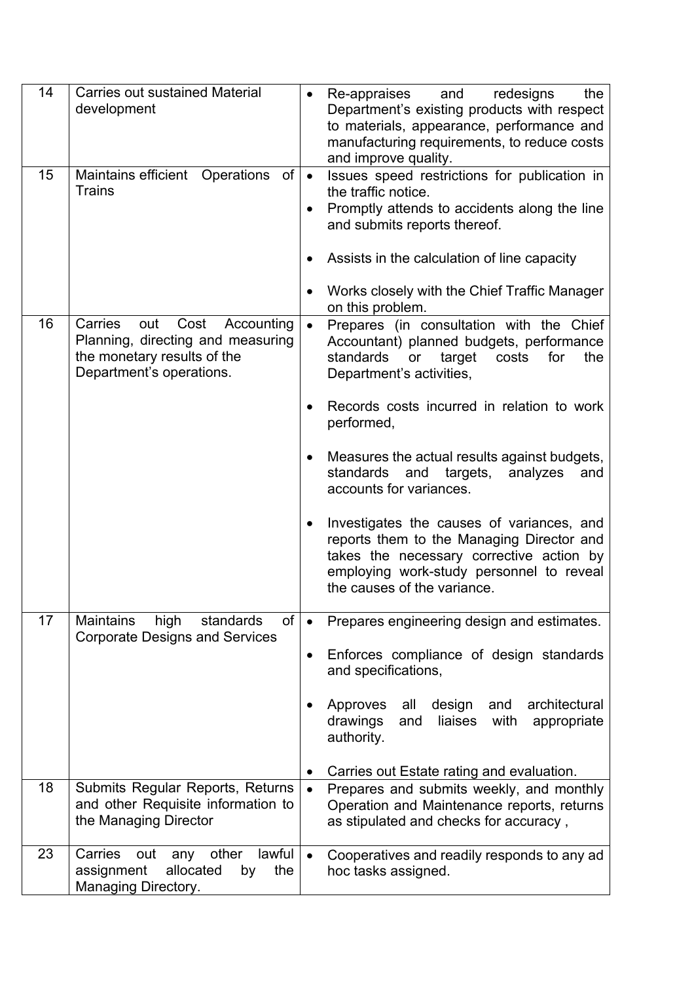| 14 | <b>Carries out sustained Material</b><br>development                                                                                 | $\bullet$                   | Re-appraises<br>and<br>redesigns<br>the<br>Department's existing products with respect<br>to materials, appearance, performance and<br>manufacturing requirements, to reduce costs<br>and improve quality.                                                                                                                                                                                                                                                                                                                                                                      |
|----|--------------------------------------------------------------------------------------------------------------------------------------|-----------------------------|---------------------------------------------------------------------------------------------------------------------------------------------------------------------------------------------------------------------------------------------------------------------------------------------------------------------------------------------------------------------------------------------------------------------------------------------------------------------------------------------------------------------------------------------------------------------------------|
| 15 | Maintains efficient Operations<br>of<br><b>Trains</b>                                                                                | $\bullet$<br>$\bullet$      | Issues speed restrictions for publication in<br>the traffic notice.<br>Promptly attends to accidents along the line<br>and submits reports thereof.<br>Assists in the calculation of line capacity<br>Works closely with the Chief Traffic Manager<br>on this problem.                                                                                                                                                                                                                                                                                                          |
| 16 | Carries<br>out<br>Cost<br>Accounting<br>Planning, directing and measuring<br>the monetary results of the<br>Department's operations. | $\bullet$<br>$\bullet$<br>٠ | Prepares (in consultation with the Chief<br>Accountant) planned budgets, performance<br>standards<br>or<br>target<br>costs<br>for<br>the<br>Department's activities,<br>Records costs incurred in relation to work<br>performed,<br>Measures the actual results against budgets,<br>standards<br>and<br>targets,<br>analyzes<br>and<br>accounts for variances.<br>Investigates the causes of variances, and<br>reports them to the Managing Director and<br>takes the necessary corrective action by<br>employing work-study personnel to reveal<br>the causes of the variance. |
| 17 | <b>Maintains</b><br>of<br>high<br>standards<br><b>Corporate Designs and Services</b>                                                 | ٠<br>٠                      | Prepares engineering design and estimates.<br>Enforces compliance of design standards<br>and specifications,<br>Approves<br>design<br>architectural<br>all<br>and<br>drawings<br>liaises<br>with<br>and<br>appropriate<br>authority.<br>Carries out Estate rating and evaluation.                                                                                                                                                                                                                                                                                               |
| 18 | Submits Regular Reports, Returns<br>and other Requisite information to<br>the Managing Director                                      | $\bullet$                   | Prepares and submits weekly, and monthly<br>Operation and Maintenance reports, returns<br>as stipulated and checks for accuracy,                                                                                                                                                                                                                                                                                                                                                                                                                                                |
| 23 | lawful<br>Carries<br>any other<br>out<br>allocated<br>assignment<br>the<br>by<br>Managing Directory.                                 | $\bullet$                   | Cooperatives and readily responds to any ad<br>hoc tasks assigned.                                                                                                                                                                                                                                                                                                                                                                                                                                                                                                              |